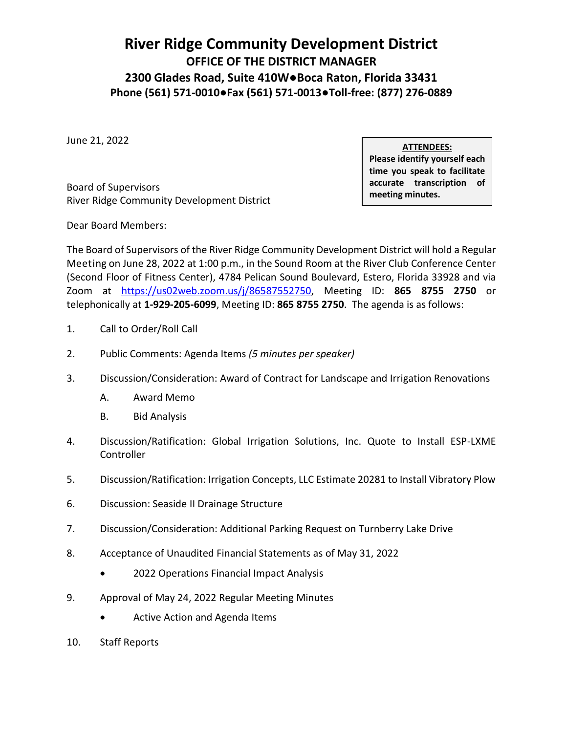## **River Ridge Community Development District OFFICE OF THE DISTRICT MANAGER 2300 Glades Road, Suite 410W●Boca Raton, Florida 33431 Phone (561) 571-0010●Fax (561) 571-0013●Toll-free: (877) 276-0889**

June 21, 2022

Board of Supervisors River Ridge Community Development District **ATTENDEES:**

**Please identify yourself each time you speak to facilitate accurate transcription of meeting minutes.**

Dear Board Members:

The Board of Supervisors of the River Ridge Community Development District will hold a Regular Meeting on June 28, 2022 at 1:00 p.m., in the Sound Room at the River Club Conference Center (Second Floor of Fitness Center), 4784 Pelican Sound Boulevard, Estero, Florida 33928 and via Zoom at https://us02web.zoom.us/j/86587552750, Meeting ID: **865 8755 2750** or telephonically at **1-929-205-6099**, Meeting ID: **865 8755 2750**. The agenda is as follows:

- 1. Call to Order/Roll Call
- 2. Public Comments: Agenda Items *(5 minutes per speaker)*
- 3. Discussion/Consideration: Award of Contract for Landscape and Irrigation Renovations
	- A. Award Memo
	- B. Bid Analysis
- 4. Discussion/Ratification: Global Irrigation Solutions, Inc. Quote to Install ESP-LXME **Controller**
- 5. Discussion/Ratification: Irrigation Concepts, LLC Estimate 20281 to Install Vibratory Plow
- 6. Discussion: Seaside II Drainage Structure
- 7. Discussion/Consideration: Additional Parking Request on Turnberry Lake Drive
- 8. Acceptance of Unaudited Financial Statements as of May 31, 2022
	- 2022 Operations Financial Impact Analysis
- 9. Approval of May 24, 2022 Regular Meeting Minutes
	- Active Action and Agenda Items
- 10. Staff Reports